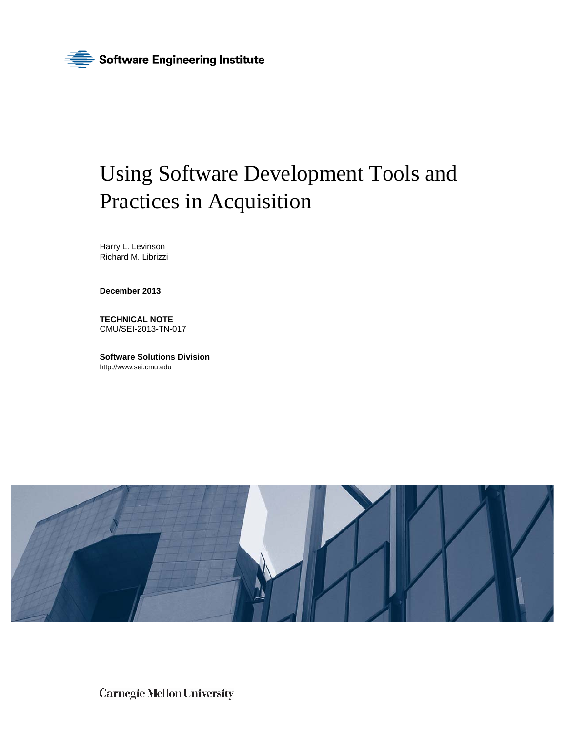

# Using Software Development Tools and Practices in Acquisition

Harry L. Levinson Richard M. Librizzi

**December 2013** 

**TECHNICAL NOTE**  CMU/SEI-2013-TN-017

**Software Solutions Division**  <http://www.sei.cmu.edu>



Carnegie Mellon University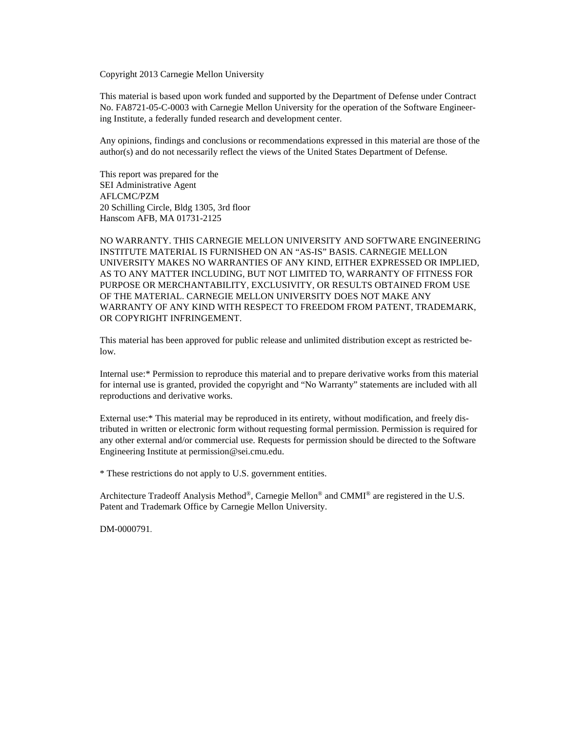Copyright 2013 Carnegie Mellon University

This material is based upon work funded and supported by the Department of Defense under Contract No. FA8721-05-C-0003 with Carnegie Mellon University for the operation of the Software Engineering Institute, a federally funded research and development center.

Any opinions, findings and conclusions or recommendations expressed in this material are those of the author(s) and do not necessarily reflect the views of the United States Department of Defense.

This report was prepared for the SEI Administrative Agent AFLCMC/PZM 20 Schilling Circle, Bldg 1305, 3rd floor Hanscom AFB, MA 01731-2125

NO WARRANTY. THIS CARNEGIE MELLON UNIVERSITY AND SOFTWARE ENGINEERING INSTITUTE MATERIAL IS FURNISHED ON AN "AS-IS" BASIS. CARNEGIE MELLON UNIVERSITY MAKES NO WARRANTIES OF ANY KIND, EITHER EXPRESSED OR IMPLIED, AS TO ANY MATTER INCLUDING, BUT NOT LIMITED TO, WARRANTY OF FITNESS FOR PURPOSE OR MERCHANTABILITY, EXCLUSIVITY, OR RESULTS OBTAINED FROM USE OF THE MATERIAL. CARNEGIE MELLON UNIVERSITY DOES NOT MAKE ANY WARRANTY OF ANY KIND WITH RESPECT TO FREEDOM FROM PATENT, TRADEMARK, OR COPYRIGHT INFRINGEMENT.

This material has been approved for public release and unlimited distribution except as restricted below.

Internal use:\* Permission to reproduce this material and to prepare derivative works from this material for internal use is granted, provided the copyright and "No Warranty" statements are included with all reproductions and derivative works.

External use:\* This material may be reproduced in its entirety, without modification, and freely distributed in written or electronic form without requesting formal permission. Permission is required for any other external and/or commercial use. Requests for permission should be directed to the Software Engineering Institute at [permission@sei.cmu.edu.](mailto:permission@sei.cmu.edu) 

\* These restrictions do not apply to U.S. government entities.

Architecture Tradeoff Analysis Method®, Carnegie Mellon® and CMMI® are registered in the U.S. Patent and Trademark Office by Carnegie Mellon University.

DM-0000791.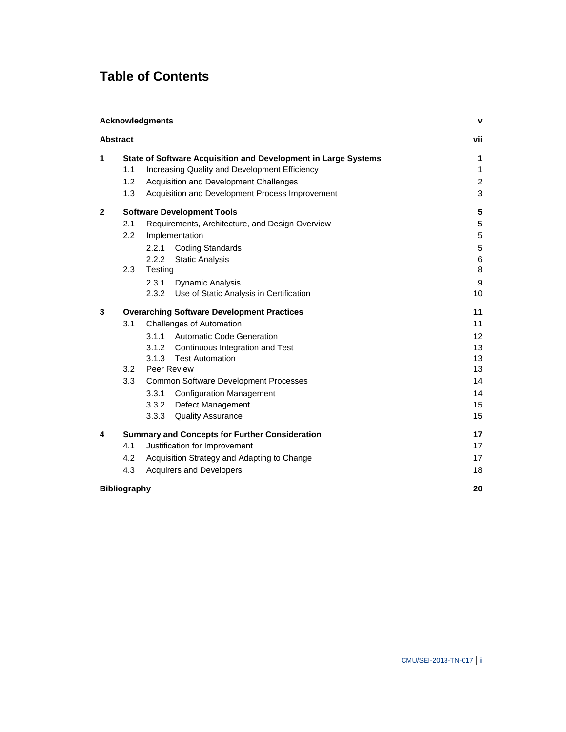## **Table of Contents**

| <b>Acknowledgments</b><br>$\mathbf v$ |                                                                                        |                                                                                                                                                                                                              |                                                      |       |  |
|---------------------------------------|----------------------------------------------------------------------------------------|--------------------------------------------------------------------------------------------------------------------------------------------------------------------------------------------------------------|------------------------------------------------------|-------|--|
| <b>Abstract</b>                       |                                                                                        |                                                                                                                                                                                                              |                                                      | vii   |  |
| 1                                     | 1.1<br>1.2<br>1.3                                                                      | State of Software Acquisition and Development in Large Systems<br>Increasing Quality and Development Efficiency<br>Acquisition and Development Challenges<br>Acquisition and Development Process Improvement | $\mathbf{1}$<br>1<br>$\overline{2}$<br>3             |       |  |
| $\overline{2}$                        | <b>Software Development Tools</b>                                                      |                                                                                                                                                                                                              |                                                      |       |  |
|                                       | 2.1                                                                                    | Requirements, Architecture, and Design Overview                                                                                                                                                              | 5                                                    |       |  |
|                                       | 2.2                                                                                    | $\sqrt{5}$                                                                                                                                                                                                   |                                                      |       |  |
|                                       |                                                                                        | 2.2.1                                                                                                                                                                                                        | <b>Coding Standards</b>                              | 5     |  |
|                                       |                                                                                        | 2.2.2                                                                                                                                                                                                        | <b>Static Analysis</b>                               | $\,6$ |  |
|                                       | 2.3                                                                                    | Testing                                                                                                                                                                                                      | 8                                                    |       |  |
|                                       |                                                                                        | 2.3.1                                                                                                                                                                                                        | <b>Dynamic Analysis</b>                              | 9     |  |
|                                       |                                                                                        | 2.3.2                                                                                                                                                                                                        | Use of Static Analysis in Certification              | 10    |  |
| 3                                     | <b>Overarching Software Development Practices</b>                                      | 11                                                                                                                                                                                                           |                                                      |       |  |
|                                       | 3.1                                                                                    |                                                                                                                                                                                                              | <b>Challenges of Automation</b>                      | 11    |  |
|                                       |                                                                                        | 3.1.1                                                                                                                                                                                                        | Automatic Code Generation                            | 12    |  |
|                                       |                                                                                        |                                                                                                                                                                                                              | 3.1.2 Continuous Integration and Test                | 13    |  |
|                                       |                                                                                        | 3.1.3                                                                                                                                                                                                        | <b>Test Automation</b>                               | 13    |  |
|                                       | 3.2<br>3.3                                                                             | Peer Review                                                                                                                                                                                                  | 13<br>14                                             |       |  |
|                                       |                                                                                        | 3.3.1                                                                                                                                                                                                        | Common Software Development Processes                | 14    |  |
|                                       |                                                                                        | 3.3.2                                                                                                                                                                                                        | <b>Configuration Management</b><br>Defect Management | 15    |  |
|                                       |                                                                                        | 3.3.3                                                                                                                                                                                                        | <b>Quality Assurance</b>                             | 15    |  |
|                                       |                                                                                        |                                                                                                                                                                                                              |                                                      |       |  |
| 4                                     | <b>Summary and Concepts for Further Consideration</b><br>Justification for Improvement |                                                                                                                                                                                                              |                                                      | 17    |  |
|                                       | 4.1                                                                                    | 17                                                                                                                                                                                                           |                                                      |       |  |
|                                       | 4.2                                                                                    | Acquisition Strategy and Adapting to Change                                                                                                                                                                  | 17                                                   |       |  |
|                                       | 4.3                                                                                    | <b>Acquirers and Developers</b>                                                                                                                                                                              | 18                                                   |       |  |
| <b>Bibliography</b>                   | 20                                                                                     |                                                                                                                                                                                                              |                                                      |       |  |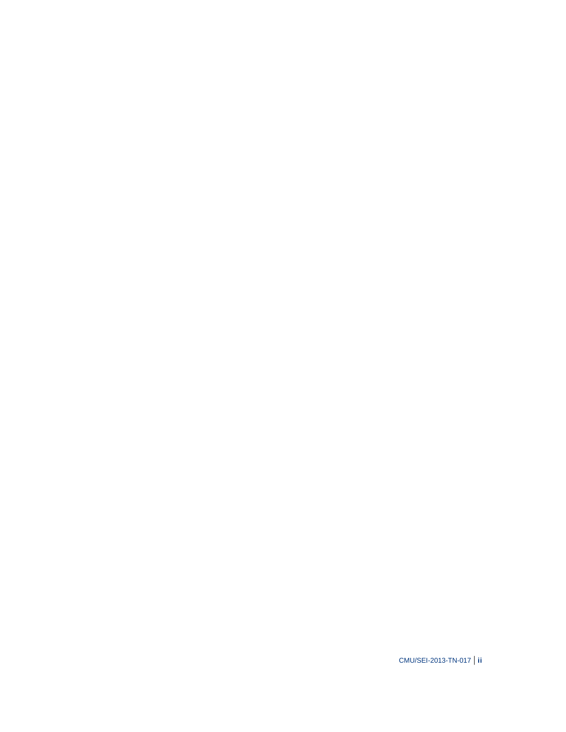CMU/SEI-2013-TN-017 | ii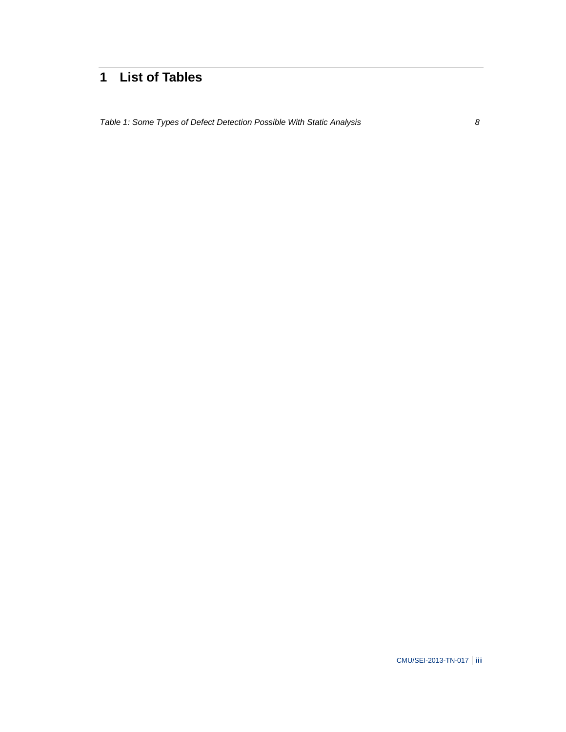## **1 List of Tables**

*Table 1: Some Types of Defect Detection Possible With Static Analysis 8*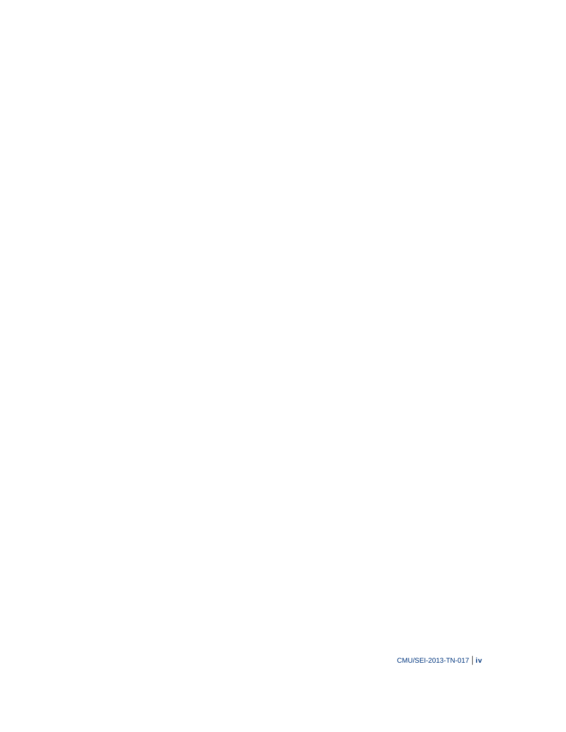CMU/SEI-2013-TN-017 | iv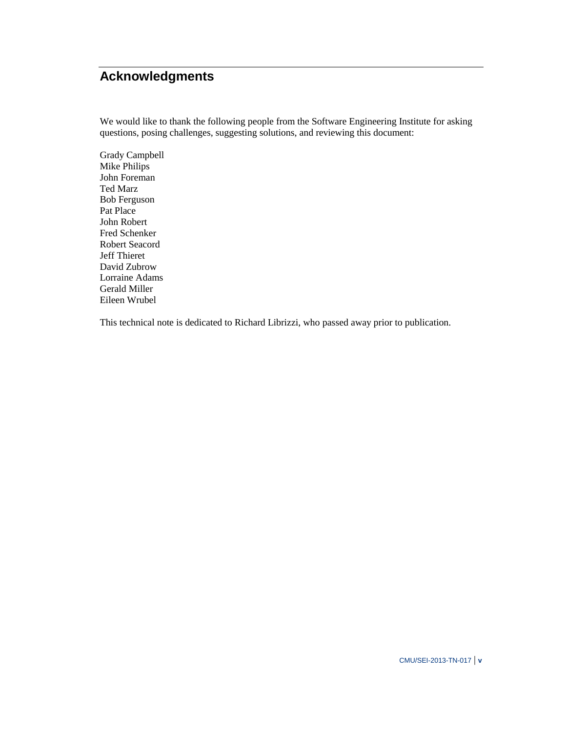## **Acknowledgments**

We would like to thank the following people from the Software Engineering Institute for asking questions, posing challenges, suggesting solutions, and reviewing this document:

Grady Campbell Mike Philips John Foreman Ted Marz Bob Ferguson Pat Place John Robert Fred Schenker Robert Seacord Jeff Thieret David Zubrow Lorraine Adams Gerald Miller Eileen Wrubel

This technical note is dedicated to Richard Librizzi, who passed away prior to publication.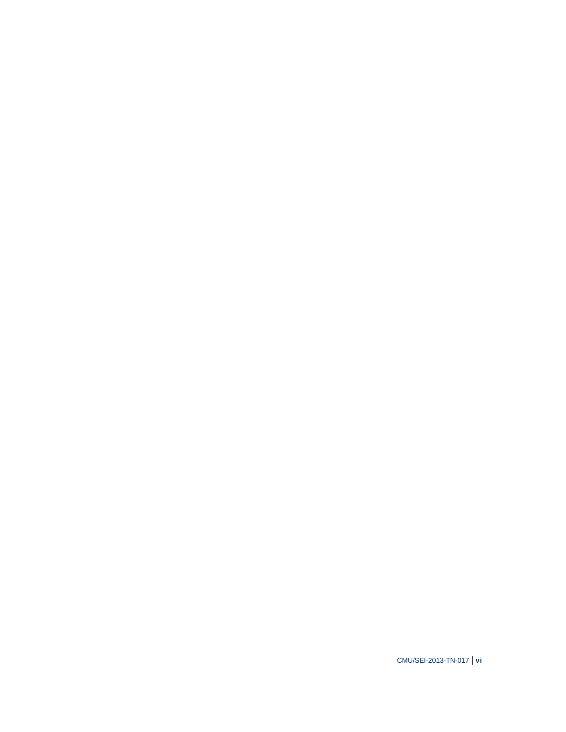CMU/SEI-2013-TN-017 | vi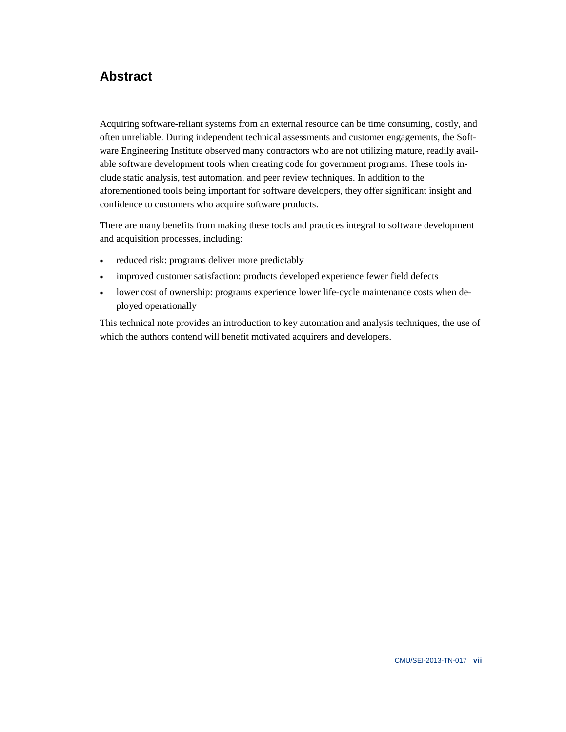## **Abstract**

Acquiring software-reliant systems from an external resource can be time consuming, costly, and often unreliable. During independent technical assessments and customer engagements, the Software Engineering Institute observed many contractors who are not utilizing mature, readily available software development tools when creating code for government programs. These tools include static analysis, test automation, and peer review techniques. In addition to the aforementioned tools being important for software developers, they offer significant insight and confidence to customers who acquire software products.

There are many benefits from making these tools and practices integral to software development and acquisition processes, including:

- reduced risk: programs deliver more predictably
- improved customer satisfaction: products developed experience fewer field defects
- lower cost of ownership: programs experience lower life-cycle maintenance costs when deployed operationally

This technical note provides an introduction to key automation and analysis techniques, the use of which the authors contend will benefit motivated acquirers and developers.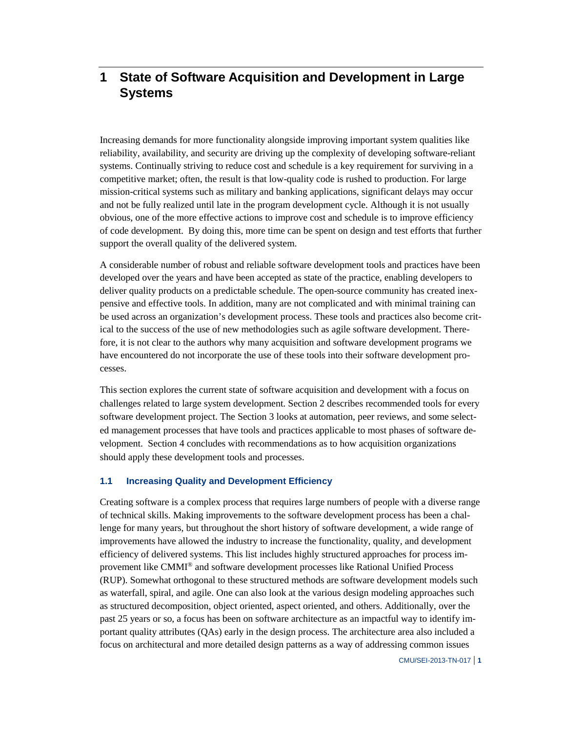## **1 State of Software Acquisition and Development in Large Systems**

Increasing demands for more functionality alongside improving important system qualities like reliability, availability, and security are driving up the complexity of developing software-reliant systems. Continually striving to reduce cost and schedule is a key requirement for surviving in a competitive market; often, the result is that low-quality code is rushed to production. For large mission-critical systems such as military and banking applications, significant delays may occur and not be fully realized until late in the program development cycle. Although it is not usually obvious, one of the more effective actions to improve cost and schedule is to improve efficiency of code development. By doing this, more time can be spent on design and test efforts that further support the overall quality of the delivered system.

A considerable number of robust and reliable software development tools and practices have been developed over the years and have been accepted as state of the practice, enabling developers to deliver quality products on a predictable schedule. The open-source community has created inexpensive and effective tools. In addition, many are not complicated and with minimal training can be used across an organization's development process. These tools and practices also become critical to the success of the use of new methodologies such as agile software development. Therefore, it is not clear to the authors why many acquisition and software development programs we have encountered do not incorporate the use of these tools into their software development processes.

This section explores the current state of software acquisition and development with a focus on challenges related to large system development. Section 2 describes recommended tools for every software development project. The Section 3 looks at automation, peer reviews, and some selected management processes that have tools and practices applicable to most phases of software development. Section 4 concludes with recommendations as to how acquisition organizations should apply these development tools and processes.

#### **1.1 Increasing Quality and Development Efficiency**

Creating software is a complex process that requires large numbers of people with a diverse range of technical skills. Making improvements to the software development process has been a challenge for many years, but throughout the short history of software development, a wide range of improvements have allowed the industry to increase the functionality, quality, and development efficiency of delivered systems. This list includes highly structured approaches for process improvement like CMMI® and software development processes like Rational Unified Process (RUP). Somewhat orthogonal to these structured methods are software development models such as waterfall, spiral, and agile. One can also look at the various design modeling approaches such as structured decomposition, object oriented, aspect oriented, and others. Additionally, over the past 25 years or so, a focus has been on software architecture as an impactful way to identify important quality attributes (QAs) early in the design process. The architecture area also included a focus on architectural and more detailed design patterns as a way of addressing common issues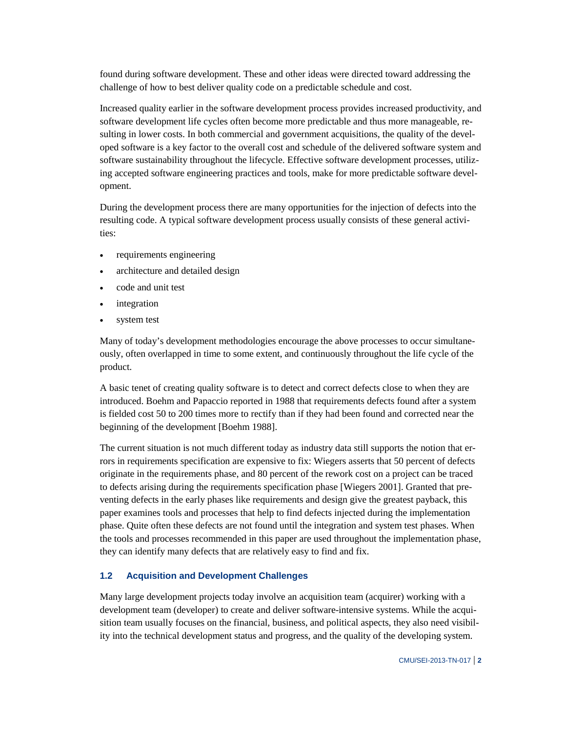found during software development. These and other ideas were directed toward addressing the challenge of how to best deliver quality code on a predictable schedule and cost.

Increased quality earlier in the software development process provides increased productivity, and software development life cycles often become more predictable and thus more manageable, resulting in lower costs. In both commercial and government acquisitions, the quality of the developed software is a key factor to the overall cost and schedule of the delivered software system and software sustainability throughout the lifecycle. Effective software development processes, utilizing accepted software engineering practices and tools, make for more predictable software development.

During the development process there are many opportunities for the injection of defects into the resulting code. A typical software development process usually consists of these general activities:

- requirements engineering
- architecture and detailed design
- code and unit test
- *integration*
- system test

Many of today's development methodologies encourage the above processes to occur simultaneously, often overlapped in time to some extent, and continuously throughout the life cycle of the product.

A basic tenet of creating quality software is to detect and correct defects close to when they are introduced. Boehm and Papaccio reported in 1988 that requirements defects found after a system is fielded cost 50 to 200 times more to rectify than if they had been found and corrected near the beginning of the development [Boehm 1988].

The current situation is not much different today as industry data still supports the notion that errors in requirements specification are expensive to fix: Wiegers asserts that 50 percent of defects originate in the requirements phase, and 80 percent of the rework cost on a project can be traced to defects arising during the requirements specification phase [Wiegers 2001]. Granted that preventing defects in the early phases like requirements and design give the greatest payback, this paper examines tools and processes that help to find defects injected during the implementation phase. Quite often these defects are not found until the integration and system test phases. When the tools and processes recommended in this paper are used throughout the implementation phase, they can identify many defects that are relatively easy to find and fix.

#### **1.2 Acquisition and Development Challenges**

Many large development projects today involve an acquisition team (acquirer) working with a development team (developer) to create and deliver software-intensive systems. While the acquisition team usually focuses on the financial, business, and political aspects, they also need visibility into the technical development status and progress, and the quality of the developing system.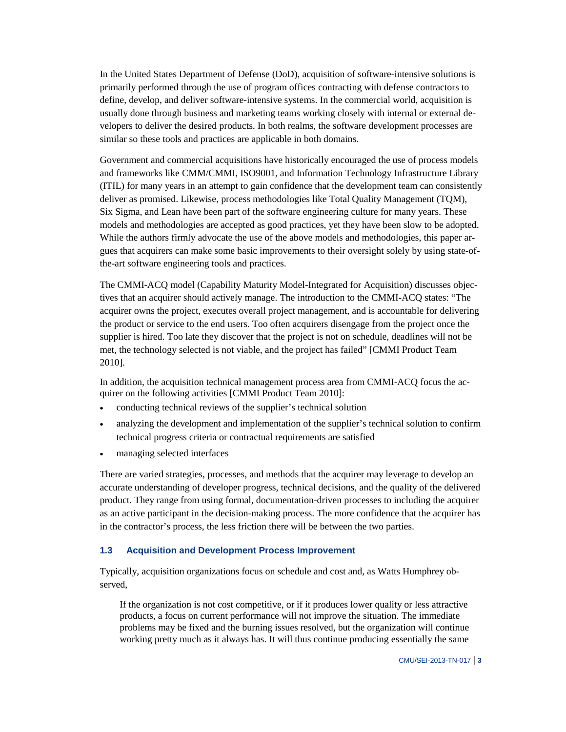In the United States Department of Defense (DoD), acquisition of software-intensive solutions is primarily performed through the use of program offices contracting with defense contractors to define, develop, and deliver software-intensive systems. In the commercial world, acquisition is usually done through business and marketing teams working closely with internal or external developers to deliver the desired products. In both realms, the software development processes are similar so these tools and practices are applicable in both domains.

Government and commercial acquisitions have historically encouraged the use of process models and frameworks like CMM/CMMI, ISO9001, and Information Technology Infrastructure Library (ITIL) for many years in an attempt to gain confidence that the development team can consistently deliver as promised. Likewise, process methodologies like Total Quality Management (TQM), Six Sigma, and Lean have been part of the software engineering culture for many years. These models and methodologies are accepted as good practices, yet they have been slow to be adopted. While the authors firmly advocate the use of the above models and methodologies, this paper argues that acquirers can make some basic improvements to their oversight solely by using state-ofthe-art software engineering tools and practices.

The CMMI-ACQ model (Capability Maturity Model-Integrated for Acquisition) discusses objectives that an acquirer should actively manage. The introduction to the CMMI-ACQ states: "The acquirer owns the project, executes overall project management, and is accountable for delivering the product or service to the end users. Too often acquirers disengage from the project once the supplier is hired. Too late they discover that the project is not on schedule, deadlines will not be met, the technology selected is not viable, and the project has failed" [CMMI Product Team 2010].

In addition, the acquisition technical management process area from CMMI-ACQ focus the acquirer on the following activities [CMMI Product Team 2010]:

- conducting technical reviews of the supplier's technical solution
- analyzing the development and implementation of the supplier's technical solution to confirm technical progress criteria or contractual requirements are satisfied
- managing selected interfaces

There are varied strategies, processes, and methods that the acquirer may leverage to develop an accurate understanding of developer progress, technical decisions, and the quality of the delivered product. They range from using formal, documentation-driven processes to including the acquirer as an active participant in the decision-making process. The more confidence that the acquirer has in the contractor's process, the less friction there will be between the two parties.

#### **1.3 Acquisition and Development Process Improvement**

Typically, acquisition organizations focus on schedule and cost and, as Watts Humphrey observed,

If the organization is not cost competitive, or if it produces lower quality or less attractive products, a focus on current performance will not improve the situation. The immediate problems may be fixed and the burning issues resolved, but the organization will continue working pretty much as it always has. It will thus continue producing essentially the same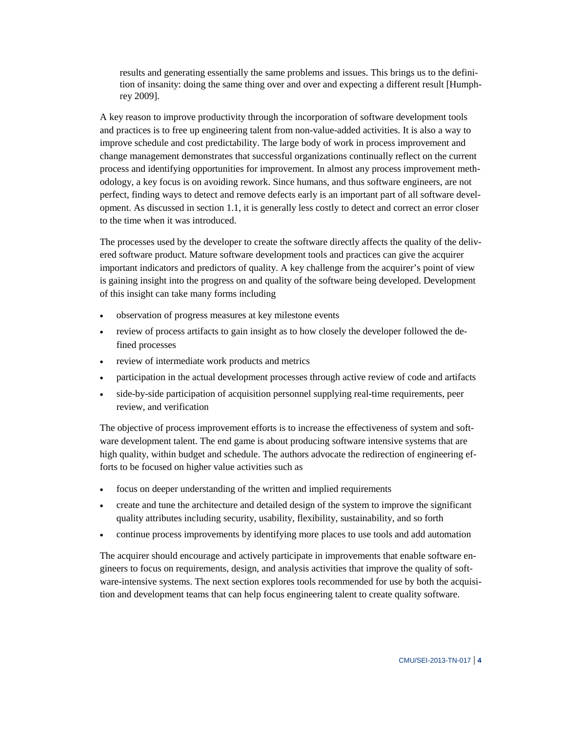results and generating essentially the same problems and issues. This brings us to the definition of insanity: doing the same thing over and over and expecting a different result [Humphrey 2009].

A key reason to improve productivity through the incorporation of software development tools and practices is to free up engineering talent from non-value-added activities. It is also a way to improve schedule and cost predictability. The large body of work in process improvement and change management demonstrates that successful organizations continually reflect on the current process and identifying opportunities for improvement. In almost any process improvement methodology, a key focus is on avoiding rework. Since humans, and thus software engineers, are not perfect, finding ways to detect and remove defects early is an important part of all software development. As discussed in section 1.1, it is generally less costly to detect and correct an error closer to the time when it was introduced.

The processes used by the developer to create the software directly affects the quality of the delivered software product. Mature software development tools and practices can give the acquirer important indicators and predictors of quality. A key challenge from the acquirer's point of view is gaining insight into the progress on and quality of the software being developed. Development of this insight can take many forms including

- observation of progress measures at key milestone events
- review of process artifacts to gain insight as to how closely the developer followed the defined processes
- review of intermediate work products and metrics
- participation in the actual development processes through active review of code and artifacts
- side-by-side participation of acquisition personnel supplying real-time requirements, peer review, and verification

The objective of process improvement efforts is to increase the effectiveness of system and software development talent. The end game is about producing software intensive systems that are high quality, within budget and schedule. The authors advocate the redirection of engineering efforts to be focused on higher value activities such as

- focus on deeper understanding of the written and implied requirements
- create and tune the architecture and detailed design of the system to improve the significant quality attributes including security, usability, flexibility, sustainability, and so forth
- continue process improvements by identifying more places to use tools and add automation

The acquirer should encourage and actively participate in improvements that enable software engineers to focus on requirements, design, and analysis activities that improve the quality of software-intensive systems. The next section explores tools recommended for use by both the acquisition and development teams that can help focus engineering talent to create quality software.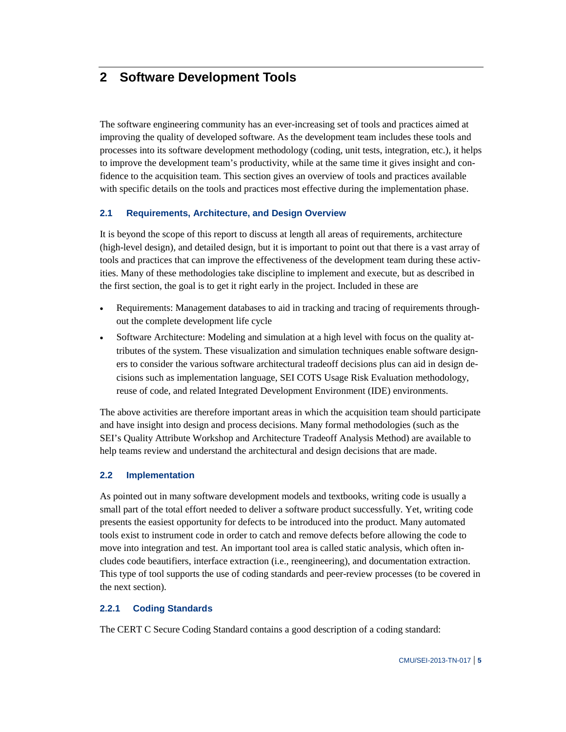## **2 Software Development Tools**

The software engineering community has an ever-increasing set of tools and practices aimed at improving the quality of developed software. As the development team includes these tools and processes into its software development methodology (coding, unit tests, integration, etc.), it helps to improve the development team's productivity, while at the same time it gives insight and confidence to the acquisition team. This section gives an overview of tools and practices available with specific details on the tools and practices most effective during the implementation phase.

#### **2.1 Requirements, Architecture, and Design Overview**

It is beyond the scope of this report to discuss at length all areas of requirements, architecture (high-level design), and detailed design, but it is important to point out that there is a vast array of tools and practices that can improve the effectiveness of the development team during these activities. Many of these methodologies take discipline to implement and execute, but as described in the first section, the goal is to get it right early in the project. Included in these are

- Requirements: Management databases to aid in tracking and tracing of requirements throughout the complete development life cycle
- Software Architecture: Modeling and simulation at a high level with focus on the quality attributes of the system. These visualization and simulation techniques enable software designers to consider the various software architectural tradeoff decisions plus can aid in design decisions such as implementation language, SEI COTS Usage Risk Evaluation methodology, reuse of code, and related Integrated Development Environment (IDE) environments.

The above activities are therefore important areas in which the acquisition team should participate and have insight into design and process decisions. Many formal methodologies (such as the SEI's Quality Attribute Workshop and Architecture Tradeoff Analysis Method) are available to help teams review and understand the architectural and design decisions that are made.

#### **2.2 Implementation**

As pointed out in many software development models and textbooks, writing code is usually a small part of the total effort needed to deliver a software product successfully. Yet, writing code presents the easiest opportunity for defects to be introduced into the product. Many automated tools exist to instrument code in order to catch and remove defects before allowing the code to move into integration and test. An important tool area is called static analysis, which often includes code beautifiers, interface extraction (i.e., reengineering), and documentation extraction. This type of tool supports the use of coding standards and peer-review processes (to be covered in the next section).

#### **2.2.1 Coding Standards**

The CERT C Secure Coding Standard contains a good description of a coding standard: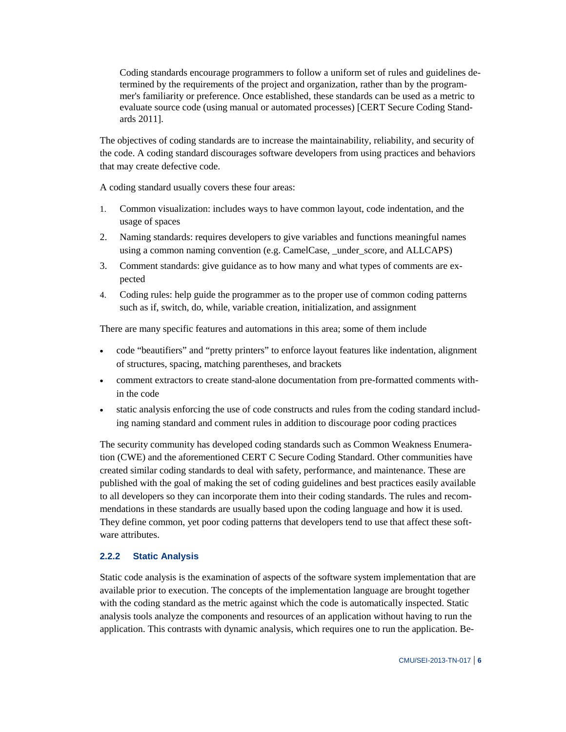Coding standards encourage programmers to follow a uniform set of rules and guidelines determined by the requirements of the project and organization, rather than by the programmer's familiarity or preference. Once established, these standards can be used as a metric to evaluate source code (using manual or automated processes) [CERT Secure Coding Standards 2011].

The objectives of coding standards are to increase the maintainability, reliability, and security of the code. A coding standard discourages software developers from using practices and behaviors that may create defective code.

A coding standard usually covers these four areas:

- 1. Common visualization: includes ways to have common layout, code indentation, and the usage of spaces
- 2. Naming standards: requires developers to give variables and functions meaningful names using a common naming convention (e.g. CamelCase, \_under\_score, and ALLCAPS)
- 3. Comment standards: give guidance as to how many and what types of comments are expected
- 4. Coding rules: help guide the programmer as to the proper use of common coding patterns such as if, switch, do, while, variable creation, initialization, and assignment

There are many specific features and automations in this area; some of them include

- code "beautifiers" and "pretty printers" to enforce layout features like indentation, alignment of structures, spacing, matching parentheses, and brackets
- comment extractors to create stand-alone documentation from pre-formatted comments within the code
- static analysis enforcing the use of code constructs and rules from the coding standard including naming standard and comment rules in addition to discourage poor coding practices

The security community has developed coding standards such as Common Weakness Enumeration (CWE) and the aforementioned CERT C Secure Coding Standard. Other communities have created similar coding standards to deal with safety, performance, and maintenance. These are published with the goal of making the set of coding guidelines and best practices easily available to all developers so they can incorporate them into their coding standards. The rules and recommendations in these standards are usually based upon the coding language and how it is used. They define common, yet poor coding patterns that developers tend to use that affect these software attributes.

#### **2.2.2 Static Analysis**

Static code analysis is the examination of aspects of the software system implementation that are available prior to execution. The concepts of the implementation language are brought together with the coding standard as the metric against which the code is automatically inspected. Static analysis tools analyze the components and resources of an application without having to run the application. This contrasts with dynamic analysis, which requires one to run the application. Be-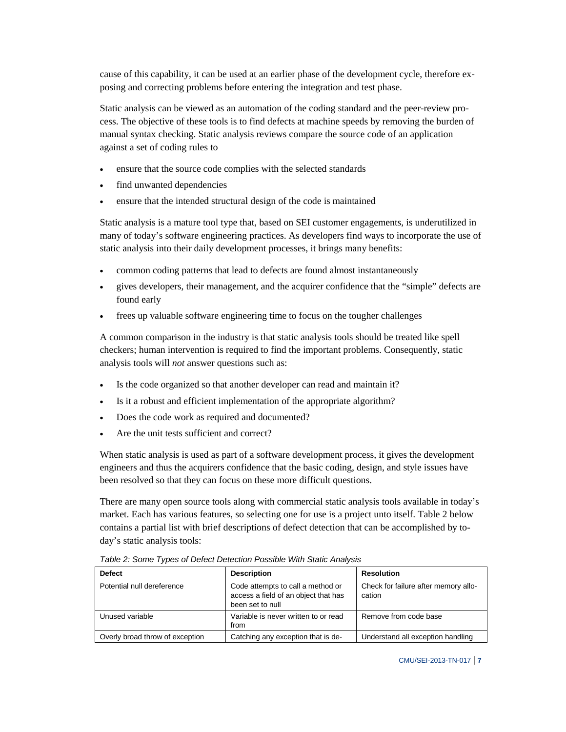cause of this capability, it can be used at an earlier phase of the development cycle, therefore exposing and correcting problems before entering the integration and test phase.

Static analysis can be viewed as an automation of the coding standard and the peer-review process. The objective of these tools is to find defects at machine speeds by removing the burden of manual syntax checking. Static analysis reviews compare the source code of an application against a set of coding rules to

- ensure that the source code complies with the selected standards
- find unwanted dependencies
- ensure that the intended structural design of the code is maintained

Static analysis is a mature tool type that, based on SEI customer engagements, is underutilized in many of today's software engineering practices. As developers find ways to incorporate the use of static analysis into their daily development processes, it brings many benefits:

- common coding patterns that lead to defects are found almost instantaneously
- gives developers, their management, and the acquirer confidence that the "simple" defects are found early
- frees up valuable software engineering time to focus on the tougher challenges

A common comparison in the industry is that static analysis tools should be treated like spell checkers; human intervention is required to find the important problems. Consequently, static analysis tools will *not* answer questions such as:

- Is the code organized so that another developer can read and maintain it?
- Is it a robust and efficient implementation of the appropriate algorithm?
- Does the code work as required and documented?
- Are the unit tests sufficient and correct?

When static analysis is used as part of a software development process, it gives the development engineers and thus the acquirers confidence that the basic coding, design, and style issues have been resolved so that they can focus on these more difficult questions.

There are many open source tools along with commercial static analysis tools available in today's market. Each has various features, so selecting one for use is a project unto itself. Table 2 below contains a partial list with brief descriptions of defect detection that can be accomplished by today's static analysis tools:

| <b>Defect</b>                   | <b>Description</b>                                                                            | <b>Resolution</b>                              |
|---------------------------------|-----------------------------------------------------------------------------------------------|------------------------------------------------|
| Potential null dereference      | Code attempts to call a method or<br>access a field of an object that has<br>been set to null | Check for failure after memory allo-<br>cation |
| Unused variable                 | Variable is never written to or read<br>from                                                  | Remove from code base                          |
| Overly broad throw of exception | Catching any exception that is de-                                                            | Understand all exception handling              |

*Table 2: Some Types of Defect Detection Possible With Static Analysis*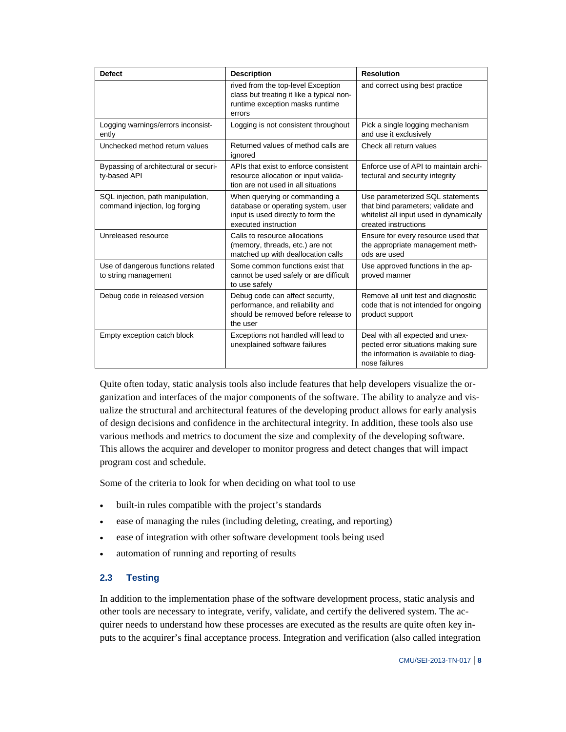| <b>Defect</b>                                                       | <b>Description</b>                                                                                                                | <b>Resolution</b>                                                                                                                         |  |
|---------------------------------------------------------------------|-----------------------------------------------------------------------------------------------------------------------------------|-------------------------------------------------------------------------------------------------------------------------------------------|--|
|                                                                     | rived from the top-level Exception<br>class but treating it like a typical non-<br>runtime exception masks runtime<br>errors      | and correct using best practice                                                                                                           |  |
| Logging warnings/errors inconsist-<br>ently                         | Logging is not consistent throughout                                                                                              | Pick a single logging mechanism<br>and use it exclusively                                                                                 |  |
| Unchecked method return values                                      | Returned values of method calls are<br>ignored                                                                                    | Check all return values                                                                                                                   |  |
| Bypassing of architectural or securi-<br>ty-based API               | APIs that exist to enforce consistent<br>resource allocation or input valida-<br>tion are not used in all situations              | Enforce use of API to maintain archi-<br>tectural and security integrity                                                                  |  |
| SQL injection, path manipulation,<br>command injection, log forging | When querying or commanding a<br>database or operating system, user<br>input is used directly to form the<br>executed instruction | Use parameterized SQL statements<br>that bind parameters; validate and<br>whitelist all input used in dynamically<br>created instructions |  |
| Unreleased resource                                                 | Calls to resource allocations<br>(memory, threads, etc.) are not<br>matched up with deallocation calls                            | Ensure for every resource used that<br>the appropriate management meth-<br>ods are used                                                   |  |
| Use of dangerous functions related<br>to string management          | Some common functions exist that<br>cannot be used safely or are difficult<br>to use safely                                       | Use approved functions in the ap-<br>proved manner                                                                                        |  |
| Debug code in released version                                      | Debug code can affect security,<br>performance, and reliability and<br>should be removed before release to<br>the user            | Remove all unit test and diagnostic<br>code that is not intended for ongoing<br>product support                                           |  |
| Empty exception catch block                                         | Exceptions not handled will lead to<br>unexplained software failures                                                              | Deal with all expected and unex-<br>pected error situations making sure<br>the information is available to diag-<br>nose failures         |  |

Quite often today, static analysis tools also include features that help developers visualize the organization and interfaces of the major components of the software. The ability to analyze and visualize the structural and architectural features of the developing product allows for early analysis of design decisions and confidence in the architectural integrity. In addition, these tools also use various methods and metrics to document the size and complexity of the developing software. This allows the acquirer and developer to monitor progress and detect changes that will impact program cost and schedule.

Some of the criteria to look for when deciding on what tool to use

- built-in rules compatible with the project's standards
- ease of managing the rules (including deleting, creating, and reporting)
- ease of integration with other software development tools being used
- automation of running and reporting of results

#### **2.3 Testing**

In addition to the implementation phase of the software development process, static analysis and other tools are necessary to integrate, verify, validate, and certify the delivered system. The acquirer needs to understand how these processes are executed as the results are quite often key inputs to the acquirer's final acceptance process. Integration and verification (also called integration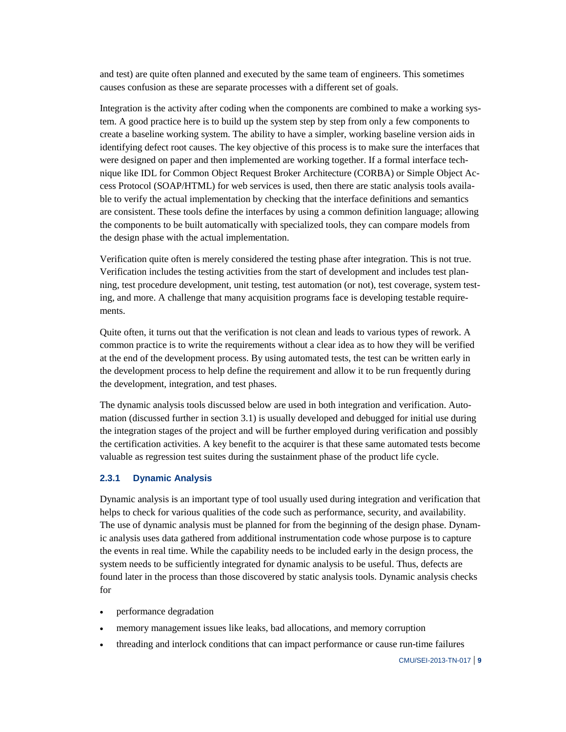and test) are quite often planned and executed by the same team of engineers. This sometimes causes confusion as these are separate processes with a different set of goals.

Integration is the activity after coding when the components are combined to make a working system. A good practice here is to build up the system step by step from only a few components to create a baseline working system. The ability to have a simpler, working baseline version aids in identifying defect root causes. The key objective of this process is to make sure the interfaces that were designed on paper and then implemented are working together. If a formal interface technique like IDL for Common Object Request Broker Architecture (CORBA) or Simple Object Access Protocol (SOAP/HTML) for web services is used, then there are static analysis tools available to verify the actual implementation by checking that the interface definitions and semantics are consistent. These tools define the interfaces by using a common definition language; allowing the components to be built automatically with specialized tools, they can compare models from the design phase with the actual implementation.

Verification quite often is merely considered the testing phase after integration. This is not true. Verification includes the testing activities from the start of development and includes test planning, test procedure development, unit testing, test automation (or not), test coverage, system testing, and more. A challenge that many acquisition programs face is developing testable requirements.

Quite often, it turns out that the verification is not clean and leads to various types of rework. A common practice is to write the requirements without a clear idea as to how they will be verified at the end of the development process. By using automated tests, the test can be written early in the development process to help define the requirement and allow it to be run frequently during the development, integration, and test phases.

The dynamic analysis tools discussed below are used in both integration and verification. Automation (discussed further in section 3.1) is usually developed and debugged for initial use during the integration stages of the project and will be further employed during verification and possibly the certification activities. A key benefit to the acquirer is that these same automated tests become valuable as regression test suites during the sustainment phase of the product life cycle.

#### **2.3.1 Dynamic Analysis**

Dynamic analysis is an important type of tool usually used during integration and verification that helps to check for various qualities of the code such as performance, security, and availability. The use of dynamic analysis must be planned for from the beginning of the design phase. Dynamic analysis uses data gathered from additional instrumentation code whose purpose is to capture the events in real time. While the capability needs to be included early in the design process, the system needs to be sufficiently integrated for dynamic analysis to be useful. Thus, defects are found later in the process than those discovered by static analysis tools. Dynamic analysis checks for

- performance degradation
- memory management issues like leaks, bad allocations, and memory corruption
- threading and interlock conditions that can impact performance or cause run-time failures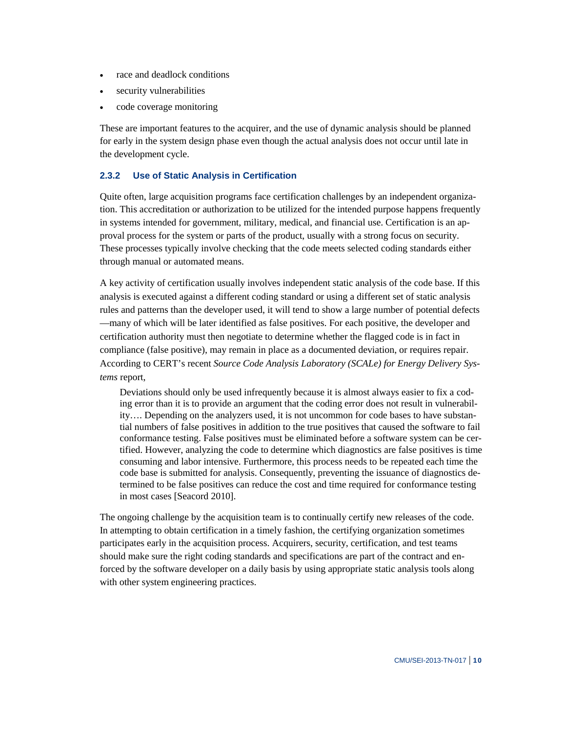- race and deadlock conditions
- security vulnerabilities
- code coverage monitoring

These are important features to the acquirer, and the use of dynamic analysis should be planned for early in the system design phase even though the actual analysis does not occur until late in the development cycle.

#### **2.3.2 Use of Static Analysis in Certification**

Quite often, large acquisition programs face certification challenges by an independent organization. This accreditation or authorization to be utilized for the intended purpose happens frequently in systems intended for government, military, medical, and financial use. Certification is an approval process for the system or parts of the product, usually with a strong focus on security. These processes typically involve checking that the code meets selected coding standards either through manual or automated means.

A key activity of certification usually involves independent static analysis of the code base. If this analysis is executed against a different coding standard or using a different set of static analysis rules and patterns than the developer used, it will tend to show a large number of potential defects —many of which will be later identified as false positives. For each positive, the developer and certification authority must then negotiate to determine whether the flagged code is in fact in compliance (false positive), may remain in place as a documented deviation, or requires repair. According to CERT's recent *Source Code Analysis Laboratory (SCALe) for Energy Delivery Systems* report,

Deviations should only be used infrequently because it is almost always easier to fix a coding error than it is to provide an argument that the coding error does not result in vulnerability…. Depending on the analyzers used, it is not uncommon for code bases to have substantial numbers of false positives in addition to the true positives that caused the software to fail conformance testing. False positives must be eliminated before a software system can be certified. However, analyzing the code to determine which diagnostics are false positives is time consuming and labor intensive. Furthermore, this process needs to be repeated each time the code base is submitted for analysis. Consequently, preventing the issuance of diagnostics determined to be false positives can reduce the cost and time required for conformance testing in most cases [Seacord 2010].

The ongoing challenge by the acquisition team is to continually certify new releases of the code. In attempting to obtain certification in a timely fashion, the certifying organization sometimes participates early in the acquisition process. Acquirers, security, certification, and test teams should make sure the right coding standards and specifications are part of the contract and enforced by the software developer on a daily basis by using appropriate static analysis tools along with other system engineering practices.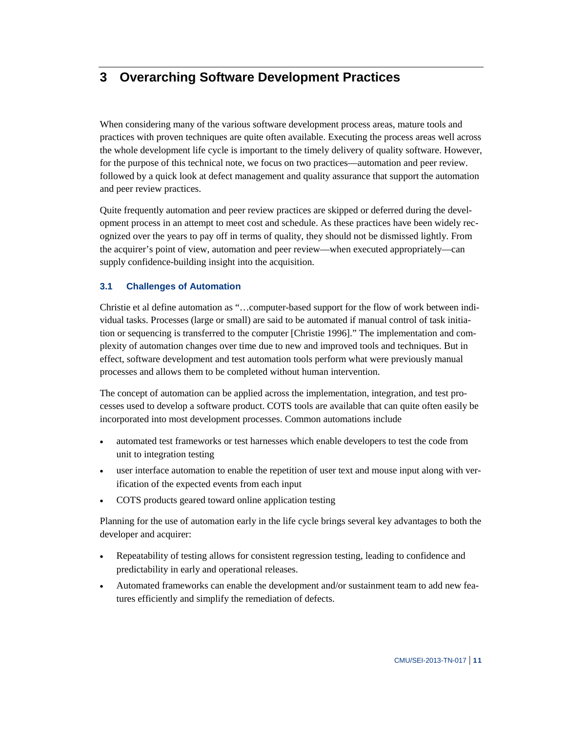## **3 Overarching Software Development Practices**

When considering many of the various software development process areas, mature tools and practices with proven techniques are quite often available. Executing the process areas well across the whole development life cycle is important to the timely delivery of quality software. However, for the purpose of this technical note, we focus on two practices—automation and peer review. followed by a quick look at defect management and quality assurance that support the automation and peer review practices.

Quite frequently automation and peer review practices are skipped or deferred during the development process in an attempt to meet cost and schedule. As these practices have been widely recognized over the years to pay off in terms of quality, they should not be dismissed lightly. From the acquirer's point of view, automation and peer review—when executed appropriately—can supply confidence-building insight into the acquisition.

#### **3.1 Challenges of Automation**

Christie et al define automation as "…computer-based support for the flow of work between individual tasks. Processes (large or small) are said to be automated if manual control of task initiation or sequencing is transferred to the computer [Christie 1996]." The implementation and complexity of automation changes over time due to new and improved tools and techniques. But in effect, software development and test automation tools perform what were previously manual processes and allows them to be completed without human intervention.

The concept of automation can be applied across the implementation, integration, and test processes used to develop a software product. COTS tools are available that can quite often easily be incorporated into most development processes. Common automations include

- automated test frameworks or test harnesses which enable developers to test the code from unit to integration testing
- user interface automation to enable the repetition of user text and mouse input along with verification of the expected events from each input
- COTS products geared toward online application testing

Planning for the use of automation early in the life cycle brings several key advantages to both the developer and acquirer:

- Repeatability of testing allows for consistent regression testing, leading to confidence and predictability in early and operational releases.
- Automated frameworks can enable the development and/or sustainment team to add new features efficiently and simplify the remediation of defects.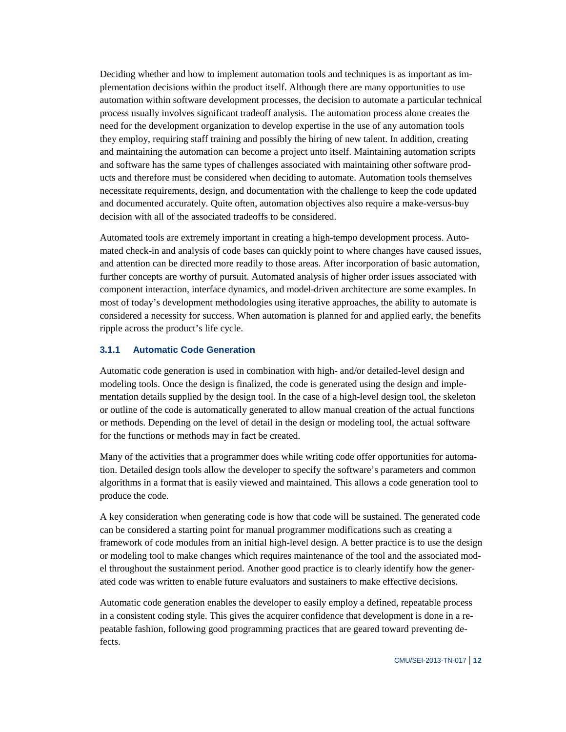Deciding whether and how to implement automation tools and techniques is as important as implementation decisions within the product itself. Although there are many opportunities to use automation within software development processes, the decision to automate a particular technical process usually involves significant tradeoff analysis. The automation process alone creates the need for the development organization to develop expertise in the use of any automation tools they employ, requiring staff training and possibly the hiring of new talent. In addition, creating and maintaining the automation can become a project unto itself. Maintaining automation scripts and software has the same types of challenges associated with maintaining other software products and therefore must be considered when deciding to automate. Automation tools themselves necessitate requirements, design, and documentation with the challenge to keep the code updated and documented accurately. Quite often, automation objectives also require a make-versus-buy decision with all of the associated tradeoffs to be considered.

Automated tools are extremely important in creating a high-tempo development process. Automated check-in and analysis of code bases can quickly point to where changes have caused issues, and attention can be directed more readily to those areas. After incorporation of basic automation, further concepts are worthy of pursuit. Automated analysis of higher order issues associated with component interaction, interface dynamics, and model-driven architecture are some examples. In most of today's development methodologies using iterative approaches, the ability to automate is considered a necessity for success. When automation is planned for and applied early, the benefits ripple across the product's life cycle.

#### **3.1.1 Automatic Code Generation**

Automatic code generation is used in combination with high- and/or detailed-level design and modeling tools. Once the design is finalized, the code is generated using the design and implementation details supplied by the design tool. In the case of a high-level design tool, the skeleton or outline of the code is automatically generated to allow manual creation of the actual functions or methods. Depending on the level of detail in the design or modeling tool, the actual software for the functions or methods may in fact be created.

Many of the activities that a programmer does while writing code offer opportunities for automation. Detailed design tools allow the developer to specify the software's parameters and common algorithms in a format that is easily viewed and maintained. This allows a code generation tool to produce the code.

A key consideration when generating code is how that code will be sustained. The generated code can be considered a starting point for manual programmer modifications such as creating a framework of code modules from an initial high-level design. A better practice is to use the design or modeling tool to make changes which requires maintenance of the tool and the associated model throughout the sustainment period. Another good practice is to clearly identify how the generated code was written to enable future evaluators and sustainers to make effective decisions.

Automatic code generation enables the developer to easily employ a defined, repeatable process in a consistent coding style. This gives the acquirer confidence that development is done in a repeatable fashion, following good programming practices that are geared toward preventing defects.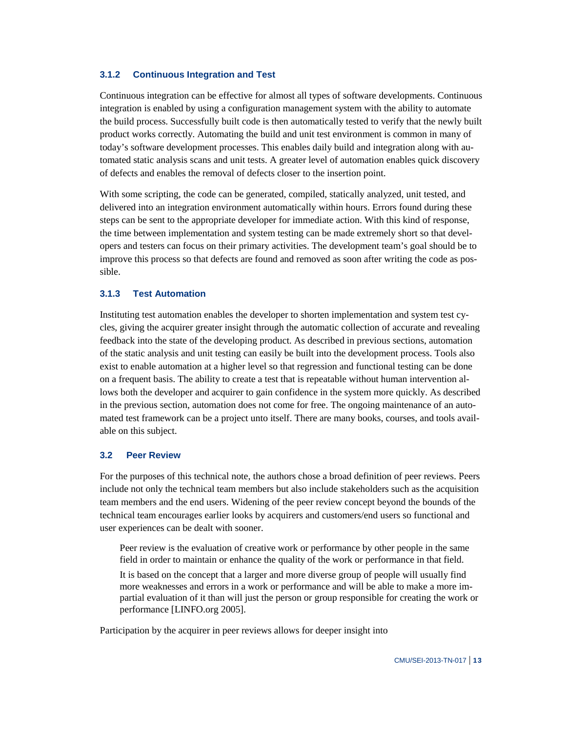#### **3.1.2 Continuous Integration and Test**

Continuous integration can be effective for almost all types of software developments. Continuous integration is enabled by using a configuration management system with the ability to automate the build process. Successfully built code is then automatically tested to verify that the newly built product works correctly. Automating the build and unit test environment is common in many of today's software development processes. This enables daily build and integration along with automated static analysis scans and unit tests. A greater level of automation enables quick discovery of defects and enables the removal of defects closer to the insertion point.

With some scripting, the code can be generated, compiled, statically analyzed, unit tested, and delivered into an integration environment automatically within hours. Errors found during these steps can be sent to the appropriate developer for immediate action. With this kind of response, the time between implementation and system testing can be made extremely short so that developers and testers can focus on their primary activities. The development team's goal should be to improve this process so that defects are found and removed as soon after writing the code as possible.

#### **3.1.3 Test Automation**

Instituting test automation enables the developer to shorten implementation and system test cycles, giving the acquirer greater insight through the automatic collection of accurate and revealing feedback into the state of the developing product. As described in previous sections, automation of the static analysis and unit testing can easily be built into the development process. Tools also exist to enable automation at a higher level so that regression and functional testing can be done on a frequent basis. The ability to create a test that is repeatable without human intervention allows both the developer and acquirer to gain confidence in the system more quickly. As described in the previous section, automation does not come for free. The ongoing maintenance of an automated test framework can be a project unto itself. There are many books, courses, and tools available on this subject.

#### **3.2 Peer Review**

For the purposes of this technical note, the authors chose a broad definition of peer reviews. Peers include not only the technical team members but also include stakeholders such as the acquisition team members and the end users. Widening of the peer review concept beyond the bounds of the technical team encourages earlier looks by acquirers and customers/end users so functional and user experiences can be dealt with sooner.

Peer review is the evaluation of creative work or performance by other people in the same field in order to maintain or enhance the quality of the work or performance in that field.

It is based on the concept that a larger and more diverse group of people will usually find more weaknesses and errors in a work or performance and will be able to make a more impartial evaluation of it than will just the person or group responsible for creating the work or performance [LINFO.org 2005].

Participation by the acquirer in peer reviews allows for deeper insight into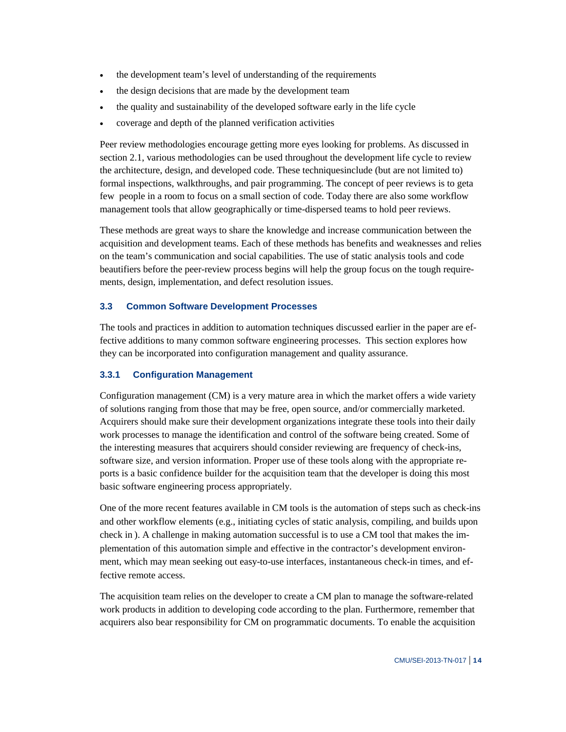- the development team's level of understanding of the requirements
- the design decisions that are made by the development team
- the quality and sustainability of the developed software early in the life cycle
- coverage and depth of the planned verification activities

Peer review methodologies encourage getting more eyes looking for problems. As discussed in section 2.1, various methodologies can be used throughout the development life cycle to review the architecture, design, and developed code. These techniquesinclude (but are not limited to) formal inspections, walkthroughs, and pair programming. The concept of peer reviews is to geta few people in a room to focus on a small section of code. Today there are also some workflow management tools that allow geographically or time-dispersed teams to hold peer reviews.

These methods are great ways to share the knowledge and increase communication between the acquisition and development teams. Each of these methods has benefits and weaknesses and relies on the team's communication and social capabilities. The use of static analysis tools and code beautifiers before the peer-review process begins will help the group focus on the tough requirements, design, implementation, and defect resolution issues.

#### **3.3 Common Software Development Processes**

The tools and practices in addition to automation techniques discussed earlier in the paper are effective additions to many common software engineering processes. This section explores how they can be incorporated into configuration management and quality assurance.

#### **3.3.1 Configuration Management**

Configuration management (CM) is a very mature area in which the market offers a wide variety of solutions ranging from those that may be free, open source, and/or commercially marketed. Acquirers should make sure their development organizations integrate these tools into their daily work processes to manage the identification and control of the software being created. Some of the interesting measures that acquirers should consider reviewing are frequency of check-ins, software size, and version information. Proper use of these tools along with the appropriate reports is a basic confidence builder for the acquisition team that the developer is doing this most basic software engineering process appropriately.

One of the more recent features available in CM tools is the automation of steps such as check-ins and other workflow elements (e.g., initiating cycles of static analysis, compiling, and builds upon check in ). A challenge in making automation successful is to use a CM tool that makes the implementation of this automation simple and effective in the contractor's development environment, which may mean seeking out easy-to-use interfaces, instantaneous check-in times, and effective remote access.

The acquisition team relies on the developer to create a CM plan to manage the software-related work products in addition to developing code according to the plan. Furthermore, remember that acquirers also bear responsibility for CM on programmatic documents. To enable the acquisition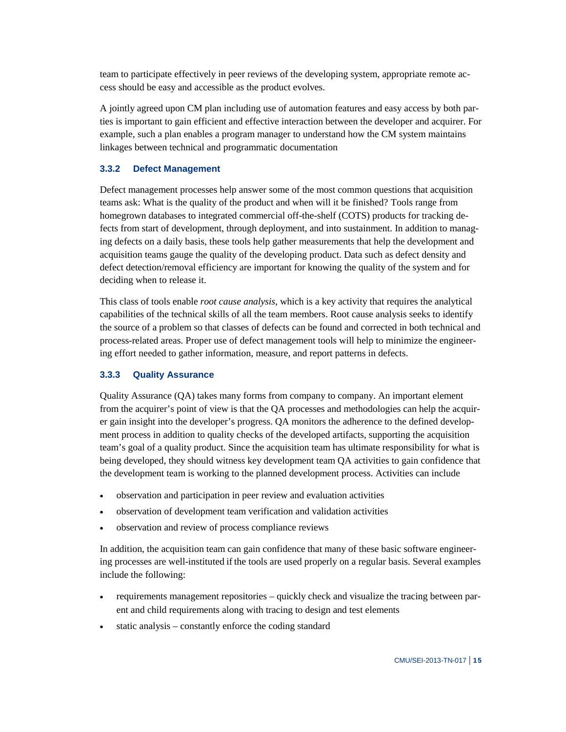team to participate effectively in peer reviews of the developing system, appropriate remote access should be easy and accessible as the product evolves.

A jointly agreed upon CM plan including use of automation features and easy access by both parties is important to gain efficient and effective interaction between the developer and acquirer. For example, such a plan enables a program manager to understand how the CM system maintains linkages between technical and programmatic documentation

#### **3.3.2 Defect Management**

Defect management processes help answer some of the most common questions that acquisition teams ask: What is the quality of the product and when will it be finished? Tools range from homegrown databases to integrated commercial off-the-shelf (COTS) products for tracking defects from start of development, through deployment, and into sustainment. In addition to managing defects on a daily basis, these tools help gather measurements that help the development and acquisition teams gauge the quality of the developing product. Data such as defect density and defect detection/removal efficiency are important for knowing the quality of the system and for deciding when to release it.

This class of tools enable *root cause analysis*, which is a key activity that requires the analytical capabilities of the technical skills of all the team members. Root cause analysis seeks to identify the source of a problem so that classes of defects can be found and corrected in both technical and process-related areas. Proper use of defect management tools will help to minimize the engineering effort needed to gather information, measure, and report patterns in defects.

#### **3.3.3 Quality Assurance**

Quality Assurance (QA) takes many forms from company to company. An important element from the acquirer's point of view is that the QA processes and methodologies can help the acquirer gain insight into the developer's progress. QA monitors the adherence to the defined development process in addition to quality checks of the developed artifacts, supporting the acquisition team's goal of a quality product. Since the acquisition team has ultimate responsibility for what is being developed, they should witness key development team QA activities to gain confidence that the development team is working to the planned development process. Activities can include

- observation and participation in peer review and evaluation activities
- observation of development team verification and validation activities
- observation and review of process compliance reviews

In addition, the acquisition team can gain confidence that many of these basic software engineering processes are well-instituted if the tools are used properly on a regular basis. Several examples include the following:

- requirements management repositories quickly check and visualize the tracing between parent and child requirements along with tracing to design and test elements
- static analysis constantly enforce the coding standard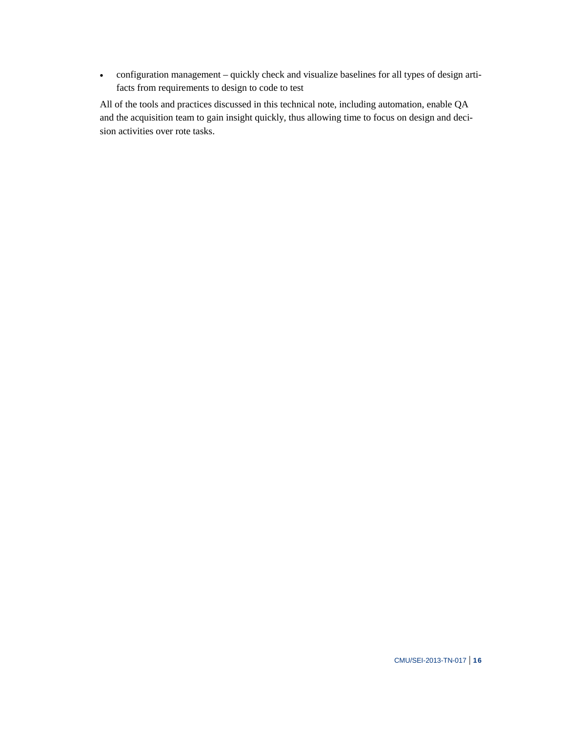• configuration management – quickly check and visualize baselines for all types of design artifacts from requirements to design to code to test

All of the tools and practices discussed in this technical note, including automation, enable QA and the acquisition team to gain insight quickly, thus allowing time to focus on design and decision activities over rote tasks.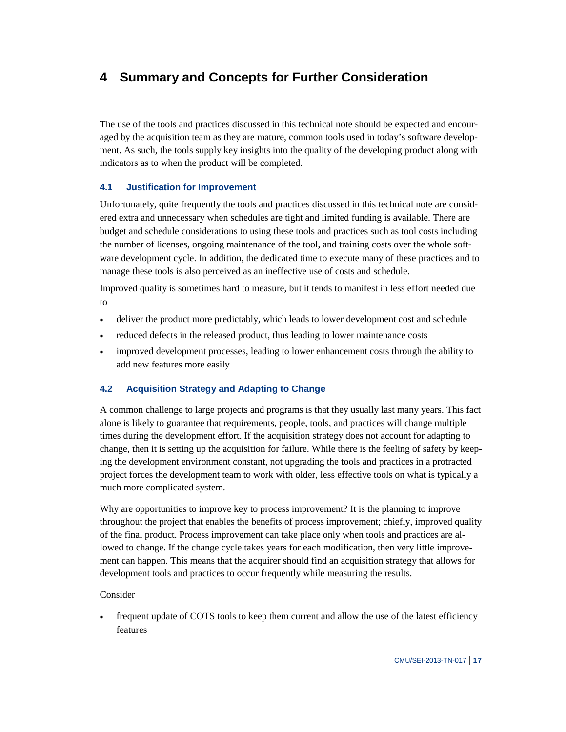## **4 Summary and Concepts for Further Consideration**

The use of the tools and practices discussed in this technical note should be expected and encouraged by the acquisition team as they are mature, common tools used in today's software development. As such, the tools supply key insights into the quality of the developing product along with indicators as to when the product will be completed.

#### **4.1 Justification for Improvement**

Unfortunately, quite frequently the tools and practices discussed in this technical note are considered extra and unnecessary when schedules are tight and limited funding is available. There are budget and schedule considerations to using these tools and practices such as tool costs including the number of licenses, ongoing maintenance of the tool, and training costs over the whole software development cycle. In addition, the dedicated time to execute many of these practices and to manage these tools is also perceived as an ineffective use of costs and schedule.

Improved quality is sometimes hard to measure, but it tends to manifest in less effort needed due to

- deliver the product more predictably, which leads to lower development cost and schedule
- reduced defects in the released product, thus leading to lower maintenance costs
- improved development processes, leading to lower enhancement costs through the ability to add new features more easily

#### **4.2 Acquisition Strategy and Adapting to Change**

A common challenge to large projects and programs is that they usually last many years. This fact alone is likely to guarantee that requirements, people, tools, and practices will change multiple times during the development effort. If the acquisition strategy does not account for adapting to change, then it is setting up the acquisition for failure. While there is the feeling of safety by keeping the development environment constant, not upgrading the tools and practices in a protracted project forces the development team to work with older, less effective tools on what is typically a much more complicated system.

Why are opportunities to improve key to process improvement? It is the planning to improve throughout the project that enables the benefits of process improvement; chiefly, improved quality of the final product. Process improvement can take place only when tools and practices are allowed to change. If the change cycle takes years for each modification, then very little improvement can happen. This means that the acquirer should find an acquisition strategy that allows for development tools and practices to occur frequently while measuring the results.

#### Consider

• frequent update of COTS tools to keep them current and allow the use of the latest efficiency features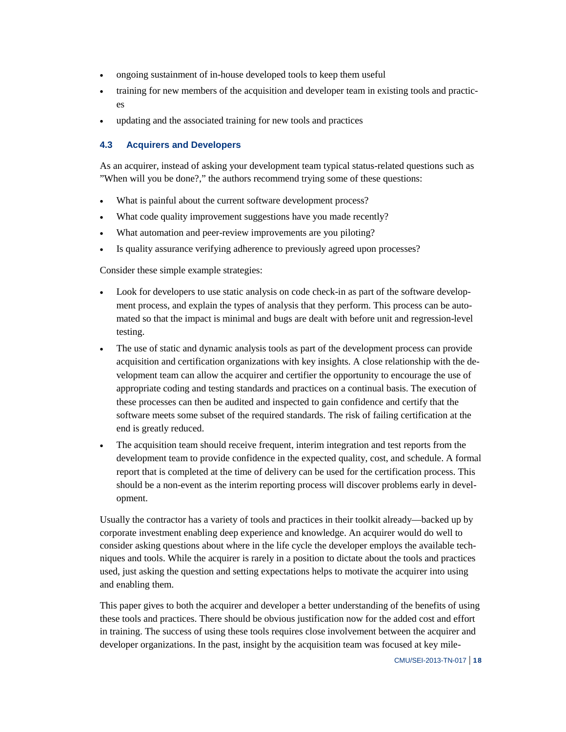- ongoing sustainment of in-house developed tools to keep them useful
- training for new members of the acquisition and developer team in existing tools and practices
- updating and the associated training for new tools and practices

#### **4.3 Acquirers and Developers**

As an acquirer, instead of asking your development team typical status-related questions such as "When will you be done?," the authors recommend trying some of these questions:

- What is painful about the current software development process?
- What code quality improvement suggestions have you made recently?
- What automation and peer-review improvements are you piloting?
- Is quality assurance verifying adherence to previously agreed upon processes?

Consider these simple example strategies:

- Look for developers to use static analysis on code check-in as part of the software development process, and explain the types of analysis that they perform. This process can be automated so that the impact is minimal and bugs are dealt with before unit and regression-level testing.
- The use of static and dynamic analysis tools as part of the development process can provide acquisition and certification organizations with key insights. A close relationship with the development team can allow the acquirer and certifier the opportunity to encourage the use of appropriate coding and testing standards and practices on a continual basis. The execution of these processes can then be audited and inspected to gain confidence and certify that the software meets some subset of the required standards. The risk of failing certification at the end is greatly reduced.
- The acquisition team should receive frequent, interim integration and test reports from the development team to provide confidence in the expected quality, cost, and schedule. A formal report that is completed at the time of delivery can be used for the certification process. This should be a non-event as the interim reporting process will discover problems early in development.

Usually the contractor has a variety of tools and practices in their toolkit already—backed up by corporate investment enabling deep experience and knowledge. An acquirer would do well to consider asking questions about where in the life cycle the developer employs the available techniques and tools. While the acquirer is rarely in a position to dictate about the tools and practices used, just asking the question and setting expectations helps to motivate the acquirer into using and enabling them.

This paper gives to both the acquirer and developer a better understanding of the benefits of using these tools and practices. There should be obvious justification now for the added cost and effort in training. The success of using these tools requires close involvement between the acquirer and developer organizations. In the past, insight by the acquisition team was focused at key mile-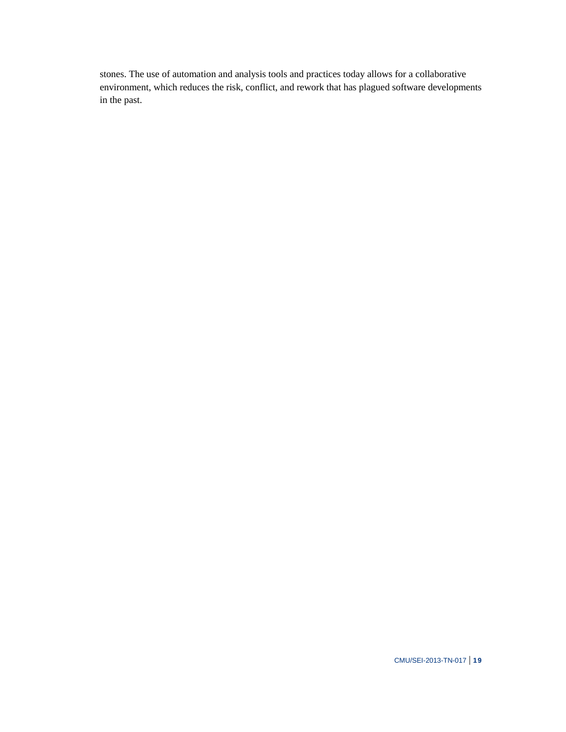stones. The use of automation and analysis tools and practices today allows for a collaborative environment, which reduces the risk, conflict, and rework that has plagued software developments in the past.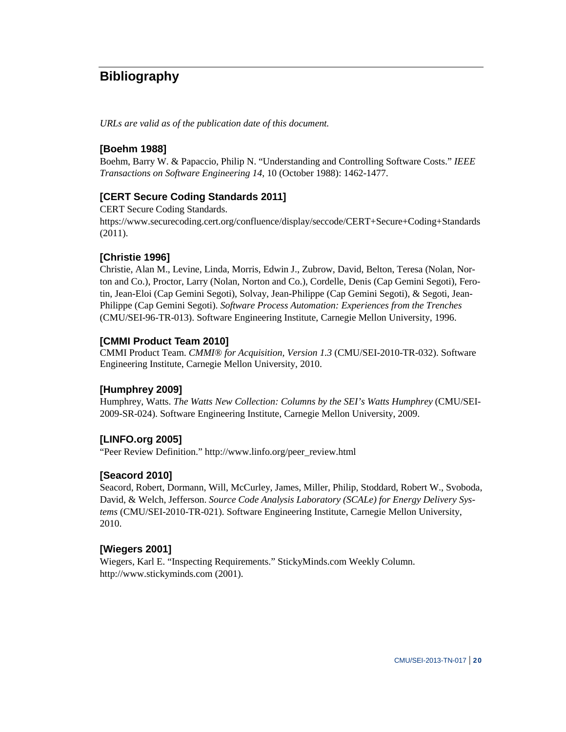## **Bibliography**

*URLs are valid as of the publication date of this document.*

#### **[Boehm 1988]**

Boehm, Barry W. & Papaccio, Philip N. "Understanding and Controlling Software Costs." *IEEE Transactions on Software Engineering 14*, 10 (October 1988): 1462-1477.

#### **[CERT Secure Coding Standards 2011]**

CERT Secure Coding Standards. <https://www.securecoding.cert.org/confluence/display/seccode/CERT+Secure+Coding+Standards> (2011).

#### **[Christie 1996]**

Christie, Alan M., Levine, Linda, Morris, Edwin J., Zubrow, David, Belton, Teresa (Nolan, Norton and Co.), Proctor, Larry (Nolan, Norton and Co.), Cordelle, Denis (Cap Gemini Segoti), Ferotin, Jean-Eloi (Cap Gemini Segoti), Solvay, Jean-Philippe (Cap Gemini Segoti), & Segoti, Jean-Philippe (Cap Gemini Segoti). *Software Process Automation: Experiences from the Trenches* (CMU/SEI-96-TR-013). Software Engineering Institute, Carnegie Mellon University, 1996.

#### **[CMMI Product Team 2010]**

CMMI Product Team. *CMMI® for Acquisition, Version 1.3* (CMU/SEI-2010-TR-032). Software Engineering Institute, Carnegie Mellon University, 2010.

#### **[Humphrey 2009]**

Humphrey, Watts. *The Watts New Collection: Columns by the SEI's Watts Humphrey* (CMU/SEI-2009-SR-024). Software Engineering Institute, Carnegie Mellon University, 2009.

#### **[LINFO.org 2005]**

"Peer Review Definition." [http://www.linfo.org/peer\\_review.html](http://www.linfo.org/peer_review.html) 

#### **[Seacord 2010]**

Seacord, Robert, Dormann, Will, McCurley, James, Miller, Philip, Stoddard, Robert W., Svoboda, David, & Welch, Jefferson. *Source Code Analysis Laboratory (SCALe) for Energy Delivery Systems* (CMU/SEI-2010-TR-021). Software Engineering Institute, Carnegie Mellon University, 2010.

#### **[Wiegers 2001]**

Wiegers, Karl E. "Inspecting Requirements." StickyMinds.com Weekly Column. [http://www.stickyminds.com \(2](http://www.stickyminds.com)001).